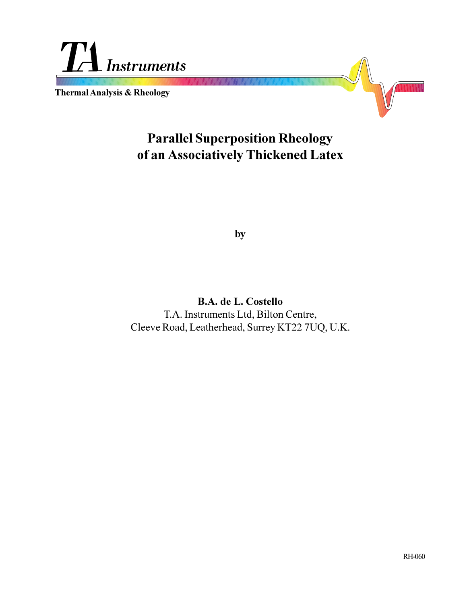

**Thermal Analysis & Rheology**



# **Parallel Superposition Rheology of an Associatively Thickened Latex**

**by**

**B.A. de L. Costello** T.A. Instruments Ltd, Bilton Centre, Cleeve Road, Leatherhead, Surrey KT22 7UQ, U.K.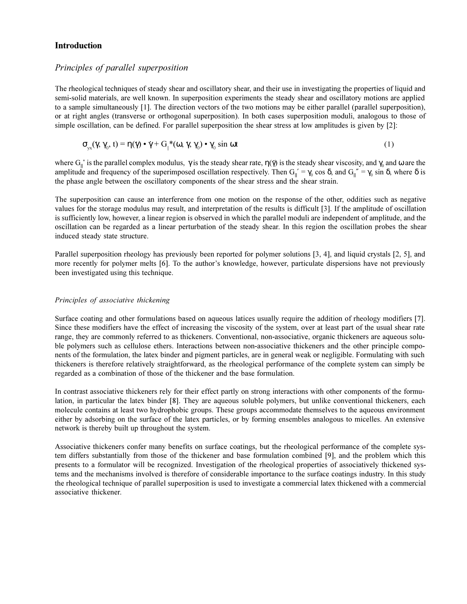## **Introduction**

## *Principles of parallel superposition*

The rheological techniques of steady shear and oscillatory shear, and their use in investigating the properties of liquid and semi-solid materials, are well known. In superposition experiments the steady shear and oscillatory motions are applied to a sample simultaneously [1]. The direction vectors of the two motions may be either parallel (parallel superposition), or at right angles (transverse or orthogonal superposition). In both cases superposition moduli, analogous to those of simple oscillation, can be defined. For parallel superposition the shear stress at low amplitudes is given by [2]:

$$
\sigma_{\rm v}(y, \gamma_0, t) = \eta(\gamma) \cdot \gamma + G_{\parallel} * (\omega, \gamma, \gamma_0) \cdot \gamma_0 \sin \omega t \tag{1}
$$

where  $G_{\parallel}^*$  is the parallel complex modulus,  $\gamma$  is the steady shear rate,  $\eta(\gamma)$  is the steady shear viscosity, and  $\gamma_0$  and  $\omega$  are the amplitude and frequency of the superimposed oscillation respectively. Then  $G_{\parallel}' = \gamma_0 \cos \delta$ , and  $G_{\parallel}'' = \gamma_0 \sin \delta$ , where  $\delta$  is the phase angle between the oscillatory components of the shear stress and the shear strain.

The superposition can cause an interference from one motion on the response of the other, oddities such as negative values for the storage modulus may result, and interpretation of the results is difficult [3]. If the amplitude of oscillation is sufficiently low, however, a linear region is observed in which the parallel moduli are independent of amplitude, and the oscillation can be regarded as a linear perturbation of the steady shear. In this region the oscillation probes the shear induced steady state structure.

Parallel superposition rheology has previously been reported for polymer solutions [3, 4], and liquid crystals [2, 5], and more recently for polymer melts [6]. To the author's knowledge, however, particulate dispersions have not previously been investigated using this technique.

## *Principles of associative thickening*

Surface coating and other formulations based on aqueous latices usually require the addition of rheology modifiers [7]. Since these modifiers have the effect of increasing the viscosity of the system, over at least part of the usual shear rate range, they are commonly referred to as thickeners. Conventional, non-associative, organic thickeners are aqueous soluble polymers such as cellulose ethers. Interactions between non-associative thickeners and the other principle components of the formulation, the latex binder and pigment particles, are in general weak or negligible. Formulating with such thickeners is therefore relatively straightforward, as the rheological performance of the complete system can simply be regarded as a combination of those of the thickener and the base formulation.

In contrast associative thickeners rely for their effect partly on strong interactions with other components of the formulation, in particular the latex binder [8]. They are aqueous soluble polymers, but unlike conventional thickeners, each molecule contains at least two hydrophobic groups. These groups accommodate themselves to the aqueous environment either by adsorbing on the surface of the latex particles, or by forming ensembles analogous to micelles. An extensive network is thereby built up throughout the system.

Associative thickeners confer many benefits on surface coatings, but the rheological performance of the complete system differs substantially from those of the thickener and base formulation combined [9], and the problem which this presents to a formulator will be recognized. Investigation of the rheological properties of associatively thickened systems and the mechanisms involved is therefore of considerable importance to the surface coatings industry. In this study the rheological technique of parallel superposition is used to investigate a commercial latex thickened with a commercial associative thickener.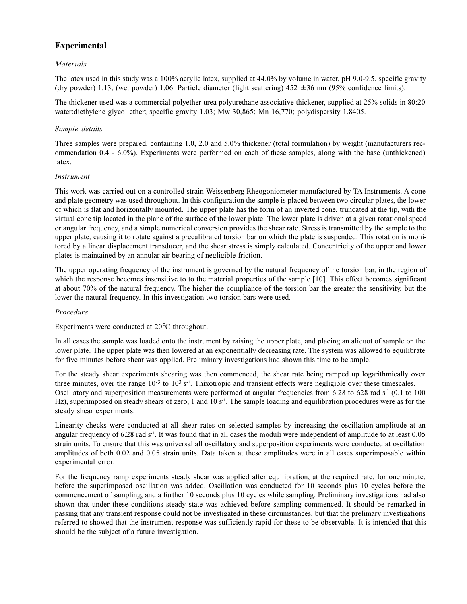# **Experimental**

## *Materials*

The latex used in this study was a 100% acrylic latex, supplied at 44.0% by volume in water, pH 9.0-9.5, specific gravity (dry powder) 1.13, (wet powder) 1.06. Particle diameter (light scattering)  $452 \pm 36$  nm (95% confidence limits).

The thickener used was a commercial polyether urea polyurethane associative thickener, supplied at 25% solids in 80:20 water:diethylene glycol ether; specific gravity 1.03; Mw 30,865; Mn 16,770; polydispersity 1.8405.

## *Sample details*

Three samples were prepared, containing 1.0, 2.0 and 5.0% thickener (total formulation) by weight (manufacturers recommendation 0.4 - 6.0%). Experiments were performed on each of these samples, along with the base (unthickened) latex.

#### *Instrument*

This work was carried out on a controlled strain Weissenberg Rheogoniometer manufactured by TA Instruments. A cone and plate geometry was used throughout. In this configuration the sample is placed between two circular plates, the lower of which is flat and horizontally mounted. The upper plate has the form of an inverted cone, truncated at the tip, with the virtual cone tip located in the plane of the surface of the lower plate. The lower plate is driven at a given rotational speed or angular frequency, and a simple numerical conversion provides the shear rate. Stress is transmitted by the sample to the upper plate, causing it to rotate against a precalibrated torsion bar on which the plate is suspended. This rotation is monitored by a linear displacement transducer, and the shear stress is simply calculated. Concentricity of the upper and lower plates is maintained by an annular air bearing of negligible friction.

The upper operating frequency of the instrument is governed by the natural frequency of the torsion bar, in the region of which the response becomes insensitive to to the material properties of the sample [10]. This effect becomes significant at about 70% of the natural frequency. The higher the compliance of the torsion bar the greater the sensitivity, but the lower the natural frequency. In this investigation two torsion bars were used.

#### *Procedure*

### Experiments were conducted at 20°C throughout.

In all cases the sample was loaded onto the instrument by raising the upper plate, and placing an aliquot of sample on the lower plate. The upper plate was then lowered at an exponentially decreasing rate. The system was allowed to equilibrate for five minutes before shear was applied. Preliminary investigations had shown this time to be ample.

For the steady shear experiments shearing was then commenced, the shear rate being ramped up logarithmically over three minutes, over the range  $10^{-3}$  to  $10^{3}$  s<sup>-1</sup>. Thixotropic and transient effects were negligible over these timescales. Oscillatory and superposition measurements were performed at angular frequencies from  $6.28$  to  $628$  rad  $s<sup>-1</sup>$  (0.1 to 100 Hz), superimposed on steady shears of zero, 1 and 10  $s<sup>-1</sup>$ . The sample loading and equilibration procedures were as for the steady shear experiments.

Linearity checks were conducted at all shear rates on selected samples by increasing the oscillation amplitude at an angular frequency of  $6.28$  rad s<sup>-1</sup>. It was found that in all cases the moduli were independent of amplitude to at least  $0.05$ strain units. To ensure that this was universal all oscillatory and superposition experiments were conducted at oscillation amplitudes of both 0.02 and 0.05 strain units. Data taken at these amplitudes were in all cases superimposable within experimental error.

For the frequency ramp experiments steady shear was applied after equilibration, at the required rate, for one minute, before the superimposed oscillation was added. Oscillation was conducted for 10 seconds plus 10 cycles before the commencement of sampling, and a further 10 seconds plus 10 cycles while sampling. Preliminary investigations had also shown that under these conditions steady state was achieved before sampling commenced. It should be remarked in passing that any transient response could not be investigated in these circumstances, but that the prelimary investigations referred to showed that the instrument response was sufficiently rapid for these to be observable. It is intended that this should be the subject of a future investigation.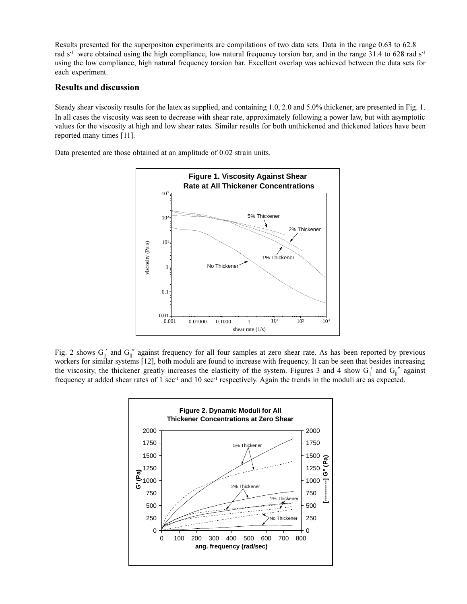Results presented for the superpositon experiments are compilations of two data sets. Data in the range 0.63 to 62.8 rad s<sup>-1</sup> were obtained using the high compliance, low natural frequency torsion bar, and in the range  $31.4$  to 628 rad s<sup>-1</sup> using the low compliance, high natural frequency torsion bar. Excellent overlap was achieved between the data sets for each experiment.

## **Results and discussion**

Steady shear viscosity results for the latex as supplied, and containing 1.0, 2.0 and 5.0% thickener, are presented in Fig. 1. In all cases the viscosity was seen to decrease with shear rate, approximately following a power law, but with asymptotic values for the viscosity at high and low shear rates. Similar results for both unthickened and thickened latices have been reported many times [11].

Data presented are those obtained at an amplitude of 0.02 strain units.



Fig. 2 shows  $G_{\parallel}$  and  $G_{\parallel}$ " against frequency for all four samples at zero shear rate. As has been reported by previous workers for similar systems [12], both moduli are found to increase with frequency. It can be seen that besides increasing the viscosity, the thickener greatly increases the elasticity of the system. Figures 3 and 4 show  $G_{\parallel}$  and  $G_{\parallel}$  against frequency at added shear rates of  $1 \text{ sec}^{-1}$  and  $10 \text{ sec}^{-1}$  respectively. Again the trends in the moduli are as expected.

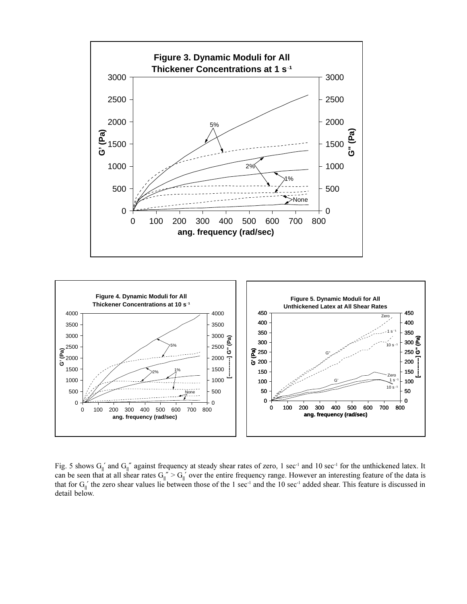



Fig. 5 shows  $G_{\parallel}$  and  $G_{\parallel}$ " against frequency at steady shear rates of zero, 1 sec<sup>-1</sup> and 10 sec<sup>-1</sup> for the unthickened latex. It can be seen that at all shear rates  $G_{\parallel}'' > G_{\parallel}'$  over the entire frequency range. However an interesting feature of the data is that for  $G_{\parallel}$ ' the zero shear values lie between those of the 1 sec<sup>-1</sup> and the 10 sec<sup>-1</sup> added shear. This feature is discussed in detail below.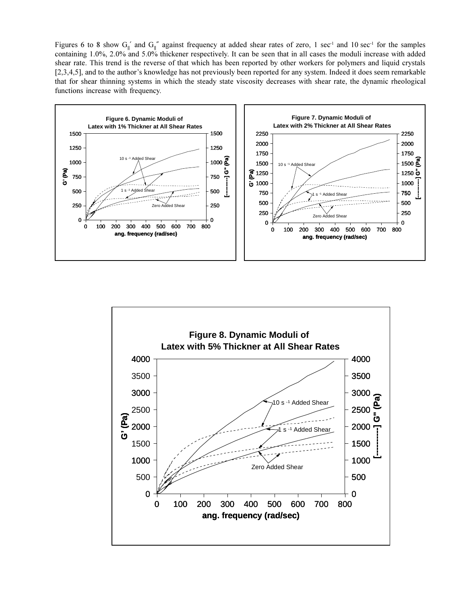Figures 6 to 8 show G<sub>||</sub>' and G<sub>||</sub>" against frequency at added shear rates of zero, 1 sec<sup>-1</sup> and 10 sec<sup>-1</sup> for the samples containing 1.0%, 2.0% and 5.0% thickener respectively. It can be seen that in all cases the moduli increase with added shear rate. This trend is the reverse of that which has been reported by other workers for polymers and liquid crystals [2,3,4,5], and to the author's knowledge has not previously been reported for any system. Indeed it does seem remarkable that for shear thinning systems in which the steady state viscosity decreases with shear rate, the dynamic rheological functions increase with frequency.



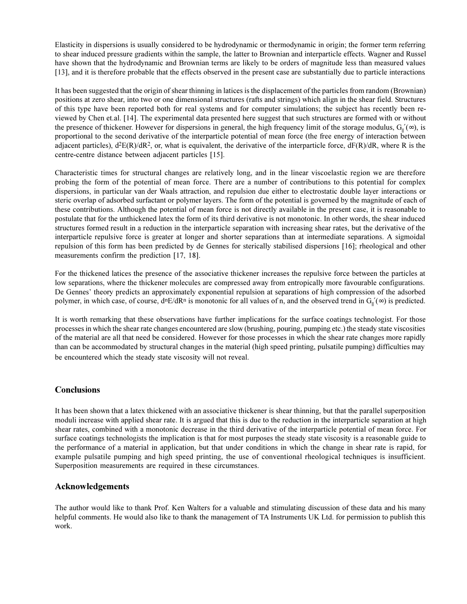Elasticity in dispersions is usually considered to be hydrodynamic or thermodynamic in origin; the former term referring to shear induced pressure gradients within the sample, the latter to Brownian and interparticle effects. Wagner and Russel have shown that the hydrodynamic and Brownian terms are likely to be orders of magnitude less than measured values [13], and it is therefore probable that the effects observed in the present case are substantially due to particle interactions.

It has been suggested that the origin of shear thinning in latices is the displacement of the particles from random (Brownian) positions at zero shear, into two or one dimensional structures (rafts and strings) which align in the shear field. Structures of this type have been reported both for real systems and for computer simulations; the subject has recently been reviewed by Chen et.al. [14]. The experimental data presented here suggest that such structures are formed with or without the presence of thickener. However for dispersions in general, the high frequency limit of the storage modulus,  $G_{\parallel}'(\infty)$ , is proportional to the second derivative of the interparticle potential of mean force (the free energy of interaction between adjacent particles),  $d^2E(R)/dR^2$ , or, what is equivalent, the derivative of the interparticle force,  $dF(R)/dR$ , where R is the centre-centre distance between adjacent particles [15].

Characteristic times for structural changes are relatively long, and in the linear viscoelastic region we are therefore probing the form of the potential of mean force. There are a number of contributions to this potential for complex dispersions, in particular van der Waals attraction, and repulsion due either to electrostatic double layer interactions or steric overlap of adsorbed surfactant or polymer layers. The form of the potential is governed by the magnitude of each of these contributions. Although the potential of mean force is not directly available in the present case, it is reasonable to postulate that for the unthickened latex the form of its third derivative is not monotonic. In other words, the shear induced structures formed result in a reduction in the interparticle separation with increasing shear rates, but the derivative of the interparticle repulsive force is greater at longer and shorter separations than at intermediate separations. A sigmoidal repulsion of this form has been predicted by de Gennes for sterically stabilised dispersions [16]; rheological and other measurements confirm the prediction [17, 18].

For the thickened latices the presence of the associative thickener increases the repulsive force between the particles at low separations, where the thickener molecules are compressed away from entropically more favourable configurations. De Gennes' theory predicts an approximately exponential repulsion at separations of high compression of the adsorbed polymer, in which case, of course,  $d^nE/dR^n$  is monotonic for all values of n, and the observed trend in  $G_{\parallel}(\infty)$  is predicted.

It is worth remarking that these observations have further implications for the surface coatings technologist. For those processes in which the shear rate changes encountered are slow (brushing, pouring, pumping etc.) the steady state viscosities of the material are all that need be considered. However for those processes in which the shear rate changes more rapidly than can be accommodated by structural changes in the material (high speed printing, pulsatile pumping) difficulties may be encountered which the steady state viscosity will not reveal.

## **Conclusions**

It has been shown that a latex thickened with an associative thickener is shear thinning, but that the parallel superposition moduli increase with applied shear rate. It is argued that this is due to the reduction in the interparticle separation at high shear rates, combined with a monotonic decrease in the third derivative of the interparticle potential of mean force. For surface coatings technologists the implication is that for most purposes the steady state viscosity is a reasonable guide to the performance of a material in application, but that under conditions in which the change in shear rate is rapid, for example pulsatile pumping and high speed printing, the use of conventional rheological techniques is insufficient. Superposition measurements are required in these circumstances.

## **Acknowledgements**

The author would like to thank Prof. Ken Walters for a valuable and stimulating discussion of these data and his many helpful comments. He would also like to thank the management of TA Instruments UK Ltd. for permission to publish this work.